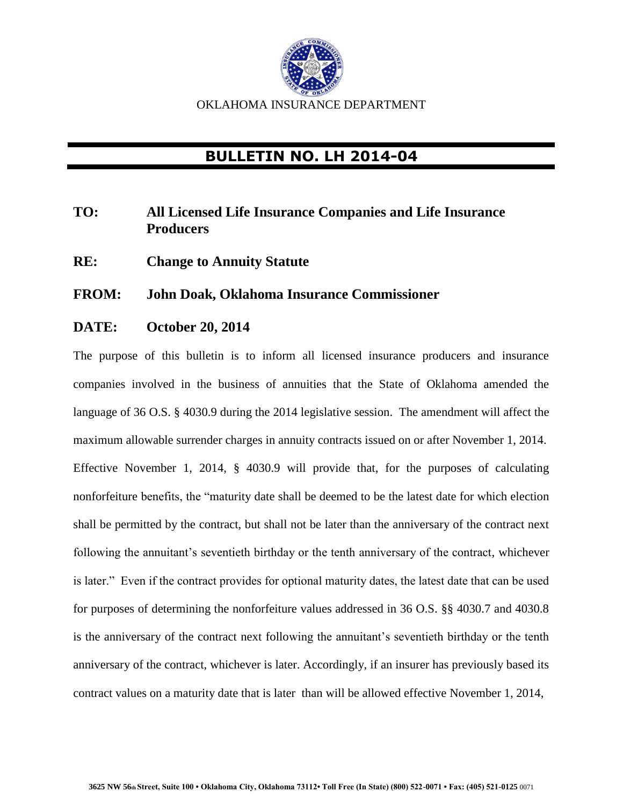

## **BULLETIN NO. LH 2014-04**

## **TO: All Licensed Life Insurance Companies and Life Insurance Producers**

**RE: Change to Annuity Statute** 

## **FROM: John Doak, Oklahoma Insurance Commissioner**

## **DATE: October 20, 2014**

The purpose of this bulletin is to inform all licensed insurance producers and insurance companies involved in the business of annuities that the State of Oklahoma amended the language of 36 O.S. § 4030.9 during the 2014 legislative session. The amendment will affect the maximum allowable surrender charges in annuity contracts issued on or after November 1, 2014. Effective November 1, 2014, § 4030.9 will provide that, for the purposes of calculating nonforfeiture benefits, the "maturity date shall be deemed to be the latest date for which election shall be permitted by the contract, but shall not be later than the anniversary of the contract next following the annuitant's seventieth birthday or the tenth anniversary of the contract, whichever is later." Even if the contract provides for optional maturity dates, the latest date that can be used for purposes of determining the nonforfeiture values addressed in 36 O.S. §§ 4030.7 and 4030.8 is the anniversary of the contract next following the annuitant's seventieth birthday or the tenth anniversary of the contract, whichever is later. Accordingly, if an insurer has previously based its contract values on a maturity date that is later than will be allowed effective November 1, 2014,